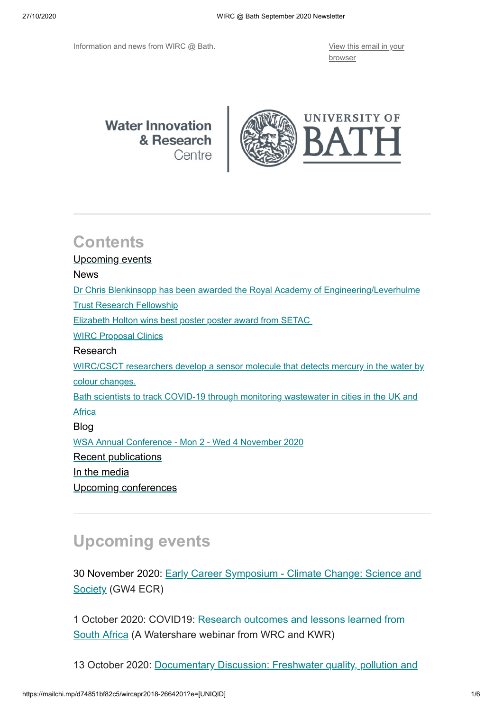Information and news from WIRC @ Bath. [View this email in your](https://mailchi.mp/d74851bf82c5/wircapr2018-2664201?e=[UNIQID])

browser

#### **Water Innovation** & Research Centre



## **Contents**

[Upcoming events](https://mailchi.mp/d74851bf82c5/wircapr2018-2664201?e=[UNIQID]#Upcoming%20Events)

News

[Dr Chris Blenkinsopp has been awarded the Royal Academy of Engineering/Leverhulme](https://mailchi.mp/d74851bf82c5/wircapr2018-2664201?e=[UNIQID]#Chris)

Trust Research Fellowship

[Elizabeth Holton wins best poster poster award from SETAC](https://mailchi.mp/d74851bf82c5/wircapr2018-2664201?e=[UNIQID]#Elizabeth%20Holton) 

[WIRC Proposal Clinics](https://mailchi.mp/d74851bf82c5/wircapr2018-2664201?e=[UNIQID]#WIRC%20C)

#### Research

[WIRC/CSCT researchers develop a sensor molecule that detects mercury in the water by](https://mailchi.mp/d74851bf82c5/wircapr2018-2664201?e=[UNIQID]#WIRC/CSCT) colour changes.

[Bath scientists to track COVID-19 through monitoring wastewater in cities in the UK and](https://mailchi.mp/d74851bf82c5/wircapr2018-2664201?e=[UNIQID]#Africa)

**Africa** 

Blog

[WSA Annual Conference - Mon 2 - Wed 4 November 2020](https://mailchi.mp/d74851bf82c5/wircapr2018-2664201?e=[UNIQID]#WSA)

[Recent publications](https://mailchi.mp/d74851bf82c5/wircapr2018-2664201?e=[UNIQID]#Recent%20publications)

[In the media](https://mailchi.mp/d74851bf82c5/wircapr2018-2664201?e=[UNIQID]#Media)

[Upcoming conferences](https://mailchi.mp/d74851bf82c5/wircapr2018-2664201?e=[UNIQID]#conferences)

#### **Upcoming events**

30 November 2020: [Early Career Symposium - Climate Change: Science and](https://gw4.ac.uk/event/early-career-symposium-climate-change-science-and-society/) Society (GW4 ECR)

1 October 2020: COVID19: [Research outcomes and lessons learned from](https://kwr.webinargeek.com/covid19-research-challenges-and-lessons-learned-from-africa) South Africa (A Watershare webinar from WRC and KWR)

13 October 2020: [Documentary Discussion: Freshwater quality, pollution and](https://www.eventbrite.co.uk/e/documentary-discussion-freshwater-quality-pollution-and-recovery-tickets-121504829215)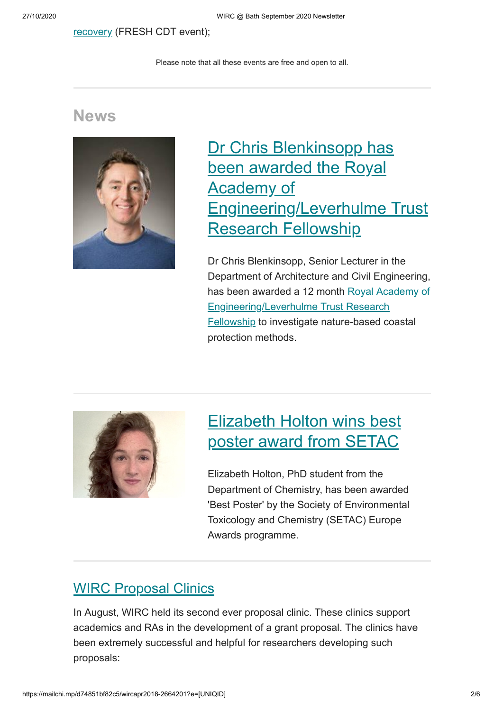#### [recovery \(FRESH CDT event\);](https://www.eventbrite.co.uk/e/documentary-discussion-freshwater-quality-pollution-and-recovery-tickets-121504829215)

Please note that all these events are free and open to all.

#### **News**



# Dr Chris Blenkinsopp has been awarded the Royal Academy of [Engineering/Leverhulme Trust](https://www.bath.ac.uk/announcements/dr-chris-blenkinsopp-has-been-awarded-the-trust-research-fellowship/) Research Fellowship

Dr Chris Blenkinsopp, Senior Lecturer in the Department of Architecture and Civil Engineering, has been awarded a 12 month Royal Academy of [Engineering/Leverhulme Trust Research](https://www.raeng.org.uk/news/news-releases/2020/august/academy-awards-seven-new-leverhulme-trust-research) Fellowship to investigate nature-based coastal protection methods.



### [Elizabeth Holton wins best](https://www.bath.ac.uk/announcements/elizabeth-holton-wins-best-poster-award-from-setac/) poster award from SETAC

Elizabeth Holton, PhD student from the Department of Chemistry, has been awarded 'Best Poster' by the Society of Environmental Toxicology and Chemistry (SETAC) Europe Awards programme.

#### WIRC Proposal Clinics

In August, WIRC held its second ever proposal clinic. These clinics support academics and RAs in the development of a grant proposal. The clinics have been extremely successful and helpful for researchers developing such proposals: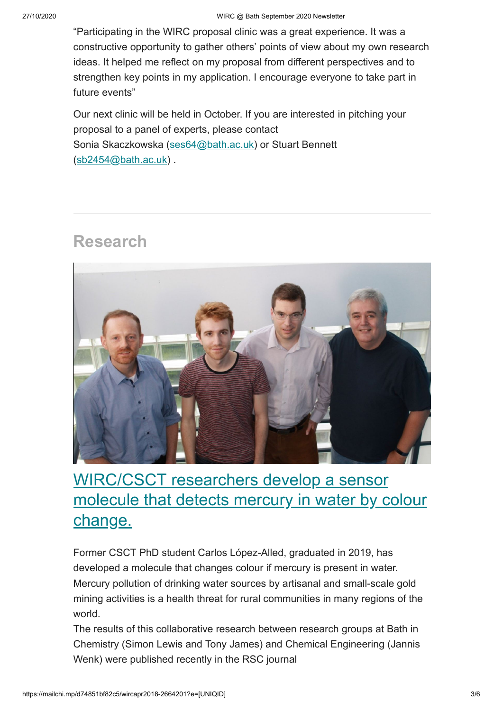"Participating in the WIRC proposal clinic was a great experience. It was a constructive opportunity to gather others' points of view about my own research ideas. It helped me reflect on my proposal from different perspectives and to strengthen key points in my application. I encourage everyone to take part in future events"

Our next clinic will be held in October. If you are interested in pitching your proposal to a panel of experts, please contact Sonia Skaczkowska ([ses64@bath.ac.uk\)](mailto:ses64@bath.ac.uk) or Stuart Bennett  $(sb2454@bath.ac.uk)$  $(sb2454@bath.ac.uk)$ .

# **Research**



# WIRC/CSCT researchers develop a sensor [molecule that detects mercury in water by colour](https://www.bath.ac.uk/announcements/wirc-csct-researchers-develop-a-sensor-molecule-that-detects-mercury-in-water/) change.

Former CSCT PhD student Carlos López-Alled, graduated in 2019, has developed a molecule that changes colour if mercury is present in water. Mercury pollution of drinking water sources by artisanal and small-scale gold mining activities is a health threat for rural communities in many regions of the world.

The results of this collaborative research between research groups at Bath in Chemistry (Simon Lewis and Tony James) and Chemical Engineering (Jannis Wenk) were published recently in the RSC journal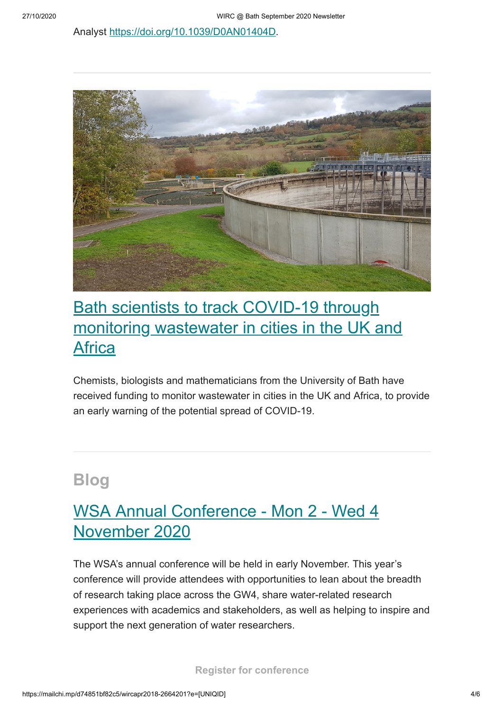Analyst <https://doi.org/10.1039/D0AN01404D>.



# Bath scientists to track COVID-19 through [monitoring wastewater in cities in the UK and](https://www.bath.ac.uk/announcements/bath-scientists-to-track-covid-19-through-monitoring-wastewater-in-cities-in-the-uk-and-africa/) **Africa**

Chemists, biologists and mathematicians from the University of Bath have received funding to monitor wastewater in cities in the UK and Africa, to provide an early warning of the potential spread of COVID-19.

## **Blog**

## [WSA Annual Conference - Mon 2 - Wed 4](http://blogs.bath.ac.uk/water/2020/09/29/wsa-annual-conference-mon-2-wed-4-november-2020/) November 2020

The WSA's annual conference will be held in early November. This year's conference will provide attendees with opportunities to lean about the breadth of research taking place across the GW4, share water-related research experiences with academics and stakeholders, as well as helping to inspire and support the next generation of water researchers.

**[Register for conference](https://www.eventbrite.co.uk/e/regional-research-with-far-reaching-impacts-tickets-85976214171)**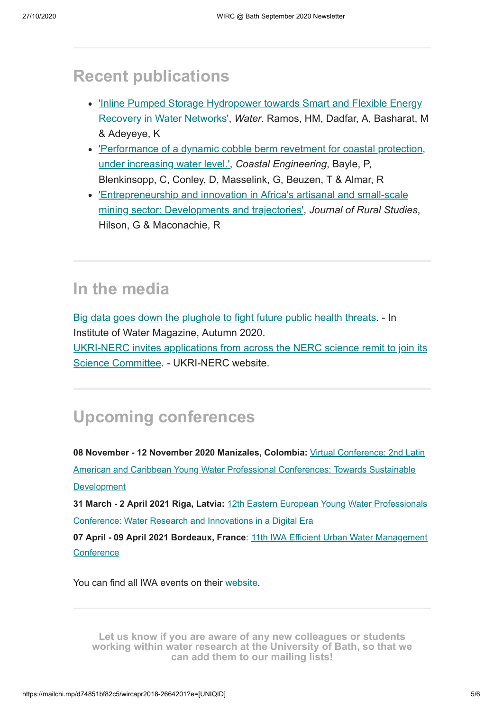#### **Recent publications**

- Inline Pumped Storage Hydropower towards Smart and Flexible Energy Recovery in Water Networks', *Water*. Ramos, HM, Dadfar, A, Basharat, M & Adeyeye, K
- ['Performance of a dynamic cobble berm revetment for coastal protection,](https://doi.org/10.1016/j.coastaleng.2020.103712) under increasing water level.', *Coastal Engineering*, Bayle, P, Blenkinsopp, C, Conley, D, Masselink, G, Beuzen, T & Almar, R
- ['Entrepreneurship and innovation in Africa's artisanal and small-scale](https://doi.org/10.1016/j.jrurstud.2020.06.004) mining sector: Developments and trajectories', *Journal of Rural Studies*, Hilson, G & Maconachie, R

#### **In the media**

[Big data goes down the plughole to fight future public health threats.](https://library.myebook.com/InstituteofWaterMagazine/autumn-2020/2779/#page/68) - In Institute of Water Magazine, Autumn 2020. [UKRI-NERC invites applications from across the NERC science remit to join its](https://nerc.ukri.org/about/organisation/boards/science/nomination/) Science Committee. - UKRI-NERC website.

# **Upcoming conferences**

**08 November - 12 November 2020 Manizales, Colombia:** Virtual Conference: 2nd Latin [American and Caribbean Young Water Professional Conferences: Towards Sustainable](https://iwa-network.org/events/2do-latinoamerican-and-caribbean-young-water-professional-conferences-towards-sustainable-development-in-our-region/) Development

**31 March - 2 April 2021 Riga, Latvia:** 12th Eastern European Young Water Professionals [Conference: Water Research and Innovations in a Digital Era](https://iwa-network.org/events/12th-eastern-european-young-water-professionals-conference-water-for-all-water-for-nature-reliable-water-supply-wastewater-treatment/)

**07 April - 09 April 2021 Bordeaux, France**: [11th IWA Efficient Urban Water Management](https://iwa-network.org/events/11th-iwa-efficient-urban-water-management-conference/) **Conference** 

You can find all IWA events on their [website](http://www.iwa-network.org/all-events/).

**Let us know if you are aware of any new colleagues or students [working within water research at the University of Bath, so that we](mailto:wirc-enquiries@bath.ac.uk?subject=New%20WIRC%20contact) can add them to our mailing lists!**